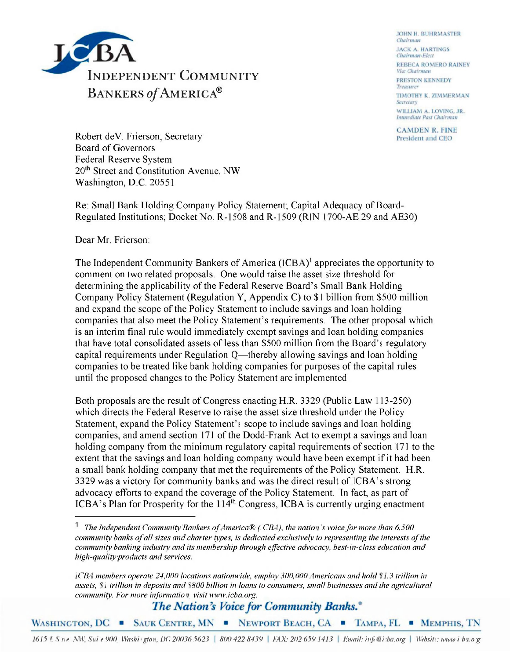

**JOHN H. BUHRMASTER** Chairman **JACK A. HARTINGS** Chairman-Elect REBECA ROMERO RAINEY Vice Chairman **PRESTON KENNEDY** Treasurer TIMOTHY K. ZIMMERMAN Secretary WILLIAM A. LOVING, JR. Immediate Past Chairman

**CAMDEN R. FINE** President and CEO

Robert deV. Frierson, Secretary Board of Governors Federal Reserve System 20<sup>th</sup> Street and Constitution Avenue, NW Washington, D.C. 20551

Re: Small Bank Holding Company Policy Statement; Capital Adequacy of Board-Regulated Institutions; Docket No. R-1508 and R-1509 (RIN 1700-AE 29 and AE30)

Dear Mr. Frierson:

The Independent Community Bankers of America (ICBA)<sup>1</sup> appreciates the opportunity to comment on two related proposals. One would raise the asset size threshold for determining the applicability of the Federal Reserve Board's Small Bank Holding Company Policy Statement (Regulation Y, Appendix C) to \$1 billion from \$500 million and expand the scope of the Policy Statement to include savings and loan holding companies that also meet the Policy Statement's requirements. The other proposal which is an interim final rule would immediately exempt savings and loan holding companies that have total consolidated assets of less than \$500 million from the Board's regulatory capital requirements under Regulation Q—thereby allowing savings and loan holding companies to be treated like bank holding companies for purposes of the capital rules until the proposed changes to the Policy Statement are implemented.

Both proposals are the result of Congress enacting H.R. 3329 (Public Law 113-250) which directs the Federal Reserve to raise the asset size threshold under the Policy Statement, expand the Policy Statement's scope to include savings and loan holding companies, and amend section 171 of the Dodd-Frank Act to exempt a savings and loan holding company from the minimum regulatory capital requirements of section 171 to the extent that the savings and loan holding company would have been exempt if it had been a small bank holding company that met the requirements of the Policy Statement. H.R. 3329 was a victory for community banks and was the direct result of ICBA's strong advocacy efforts to expand the coverage of the Policy Statement. In fact, as part of ICBA's Plan for Prosperity for the  $114<sup>th</sup>$  Congress, ICBA is currently urging enactment

The Nation's Voice for Community Banks.<sup>®</sup>

WASHINGTON, DC SAUK CENTRE, MN NEWPORT BEACH, CA TAMPA, FL MEMPHIS, TN

1615 | S n e NW, Sui e 900 Washivgton, DC 20036 5623 | 800 422-8439 | FAX: 202-659 1413 | Email: info@isba.org | Websits: www.i ba.org

*The Independent Community Bankers of America® (*I*CBA), the nation's voice for more than 6,500 community banks of all sizes and charter types, is dedicated exclusively to representing the interests of the community banking industry and its membership through effective advocacy, best-in-class education and high-quality products and services.* 

*ICBA members operate 24,000 locations nationwide, employ 300,000 Americans and hold \$*1*.3 trillion in assets, \$*1 *trillion in deposits and \$800 billion in loans to consumers, small businesses and the agricultural community. For more information, visit www.icba.org.*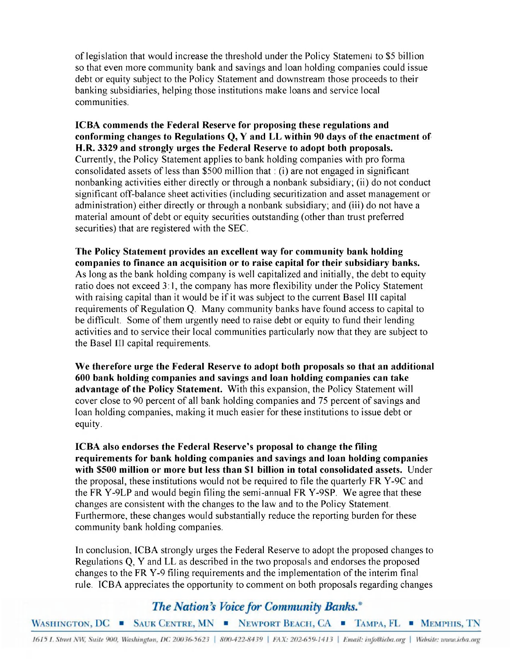of legislation that would increase the threshold under the Policy Statement to \$5 billion so that even more community bank and savings and loan holding companies could issue debt or equity subject to the Policy Statement and downstream those proceeds to their banking subsidiaries, helping those institutions make loans and service local communities.

**ICBA commends the Federal Reserve for proposing these regulations and conforming changes to Regulations Q, Y and LL within 90 days of the enactment of H.R. 3329 and strongly urges the Federal Reserve to adopt both proposals.**  Currently, the Policy Statement applies to bank holding companies with pro forma consolidated assets of less than \$500 million that: (i) are not engaged in significant nonbanking activities either directly or through a nonbank subsidiary; (ii) do not conduct significant off-balance sheet activities (including securitization and asset management or administration) either directly or through a nonbank subsidiary; and (iii) do not have a material amount of debt or equity securities outstanding (other than trust preferred securities) that are registered with the SEC.

**The Policy Statement provides an excellent way for community bank holding companies to finance an acquisition or to raise capital for their subsidiary banks.**  As long as the bank holding company is well capitalized and initially, the debt to equity ratio does not exceed 3:1, the company has more flexibility under the Policy Statement with raising capital than it would be if it was subject to the current Basel III capital requirements of Regulation Q. Many community banks have found access to capital to be difficult. Some of them urgently need to raise debt or equity to fund their lending activities and to service their local communities particularly now that they are subject to the Basel **III** capital requirements.

**We therefore urge the Federal Reserve to adopt both proposals so that an additional 600 bank holding companies and savings and loan holding companies can take advantage of the Policy Statement.** With this expansion, the Policy Statement will cover close to 90 percent of all bank holding companies and 75 percent of savings and loan holding companies, making it much easier for these institutions to issue debt or equity.

**ICBA also endorses the Federal Reserve's proposal to change the filing requirements for bank holding companies and savings and loan holding companies with \$500 million or more but less than \$1 billion in total consolidated assets.** Under the proposal, these institutions would not be required to file the quarterly FR Y-9C and the FR Y-9LP and would begin filing the semi-annual FR Y-9SP. We agree that these changes are consistent with the changes to the law and to the Policy Statement. Furthermore, these changes would substantially reduce the reporting burden for these community bank holding companies.

In conclusion, ICBA strongly urges the Federal Reserve to adopt the proposed changes to Regulations Q, Y and LL as described in the two proposals and endorses the proposed changes to the FR Y-9 filing requirements and the implementation of the interim final rule. ICBA appreciates the opportunity to comment on both proposals regarding changes

## The Nation's Voice for Community Banks.<sup>®</sup>

WASHINGTON, DC SAUK CENTRE, MN NEWPORT BEACH, CA TAMPA, FL MEMPHIS, TN